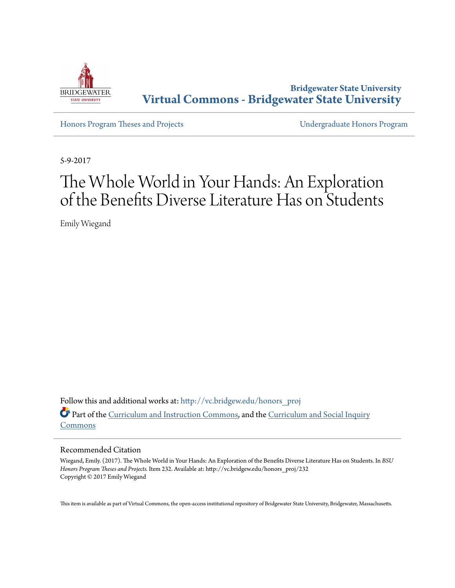

**Bridgewater State University [Virtual Commons - Bridgewater State University](http://vc.bridgew.edu?utm_source=vc.bridgew.edu%2Fhonors_proj%2F232&utm_medium=PDF&utm_campaign=PDFCoverPages)**

[Honors Program Theses and Projects](http://vc.bridgew.edu/honors_proj?utm_source=vc.bridgew.edu%2Fhonors_proj%2F232&utm_medium=PDF&utm_campaign=PDFCoverPages) [Undergraduate Honors Program](http://vc.bridgew.edu/honors?utm_source=vc.bridgew.edu%2Fhonors_proj%2F232&utm_medium=PDF&utm_campaign=PDFCoverPages)

5-9-2017

# The Whole World in Your Hands: An Exploration of the Benefits Diverse Literature Has on Students

Emily Wiegand

Follow this and additional works at: [http://vc.bridgew.edu/honors\\_proj](http://vc.bridgew.edu/honors_proj?utm_source=vc.bridgew.edu%2Fhonors_proj%2F232&utm_medium=PDF&utm_campaign=PDFCoverPages) Part of the [Curriculum and Instruction Commons](http://network.bepress.com/hgg/discipline/786?utm_source=vc.bridgew.edu%2Fhonors_proj%2F232&utm_medium=PDF&utm_campaign=PDFCoverPages), and the [Curriculum and Social Inquiry](http://network.bepress.com/hgg/discipline/1038?utm_source=vc.bridgew.edu%2Fhonors_proj%2F232&utm_medium=PDF&utm_campaign=PDFCoverPages) [Commons](http://network.bepress.com/hgg/discipline/1038?utm_source=vc.bridgew.edu%2Fhonors_proj%2F232&utm_medium=PDF&utm_campaign=PDFCoverPages)

#### Recommended Citation

Wiegand, Emily. (2017). The Whole World in Your Hands: An Exploration of the Benefits Diverse Literature Has on Students. In *BSU Honors Program Theses and Projects.* Item 232. Available at: http://vc.bridgew.edu/honors\_proj/232 Copyright © 2017 Emily Wiegand

This item is available as part of Virtual Commons, the open-access institutional repository of Bridgewater State University, Bridgewater, Massachusetts.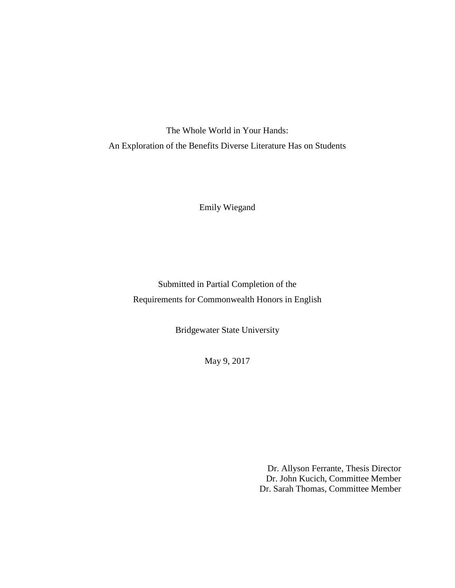The Whole World in Your Hands: An Exploration of the Benefits Diverse Literature Has on Students

Emily Wiegand

Submitted in Partial Completion of the Requirements for Commonwealth Honors in English

Bridgewater State University

May 9, 2017

Dr. Allyson Ferrante, Thesis Director Dr. John Kucich, Committee Member Dr. Sarah Thomas, Committee Member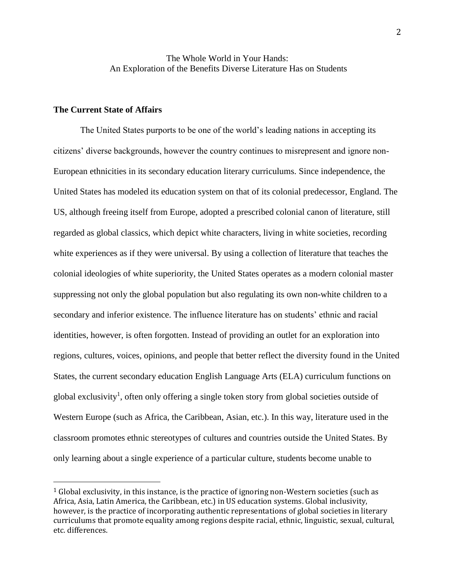## The Whole World in Your Hands: An Exploration of the Benefits Diverse Literature Has on Students

#### **The Current State of Affairs**

 $\overline{a}$ 

The United States purports to be one of the world's leading nations in accepting its citizens' diverse backgrounds, however the country continues to misrepresent and ignore non-European ethnicities in its secondary education literary curriculums. Since independence, the United States has modeled its education system on that of its colonial predecessor, England. The US, although freeing itself from Europe, adopted a prescribed colonial canon of literature, still regarded as global classics, which depict white characters, living in white societies, recording white experiences as if they were universal. By using a collection of literature that teaches the colonial ideologies of white superiority, the United States operates as a modern colonial master suppressing not only the global population but also regulating its own non-white children to a secondary and inferior existence. The influence literature has on students' ethnic and racial identities, however, is often forgotten. Instead of providing an outlet for an exploration into regions, cultures, voices, opinions, and people that better reflect the diversity found in the United States, the current secondary education English Language Arts (ELA) curriculum functions on global exclusivity<sup>1</sup>, often only offering a single token story from global societies outside of Western Europe (such as Africa, the Caribbean, Asian, etc.). In this way, literature used in the classroom promotes ethnic stereotypes of cultures and countries outside the United States. By only learning about a single experience of a particular culture, students become unable to

 $1$  Global exclusivity, in this instance, is the practice of ignoring non-Western societies (such as Africa, Asia, Latin America, the Caribbean, etc.) in US education systems. Global inclusivity, however, is the practice of incorporating authentic representations of global societies in literary curriculums that promote equality among regions despite racial, ethnic, linguistic, sexual, cultural, etc. differences.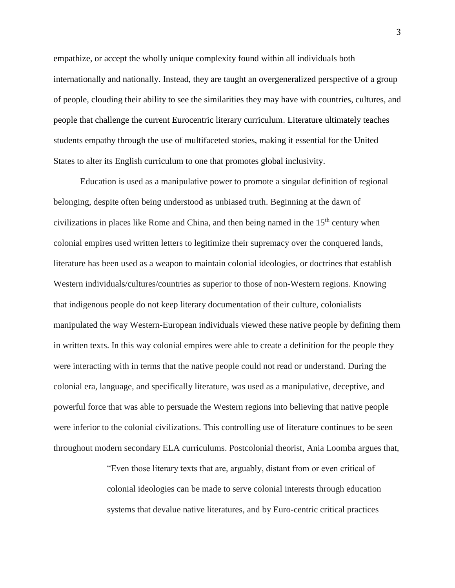empathize, or accept the wholly unique complexity found within all individuals both internationally and nationally. Instead, they are taught an overgeneralized perspective of a group of people, clouding their ability to see the similarities they may have with countries, cultures, and people that challenge the current Eurocentric literary curriculum. Literature ultimately teaches students empathy through the use of multifaceted stories, making it essential for the United States to alter its English curriculum to one that promotes global inclusivity.

Education is used as a manipulative power to promote a singular definition of regional belonging, despite often being understood as unbiased truth. Beginning at the dawn of civilizations in places like Rome and China, and then being named in the  $15<sup>th</sup>$  century when colonial empires used written letters to legitimize their supremacy over the conquered lands, literature has been used as a weapon to maintain colonial ideologies, or doctrines that establish Western individuals/cultures/countries as superior to those of non-Western regions. Knowing that indigenous people do not keep literary documentation of their culture, colonialists manipulated the way Western-European individuals viewed these native people by defining them in written texts. In this way colonial empires were able to create a definition for the people they were interacting with in terms that the native people could not read or understand. During the colonial era, language, and specifically literature, was used as a manipulative, deceptive, and powerful force that was able to persuade the Western regions into believing that native people were inferior to the colonial civilizations. This controlling use of literature continues to be seen throughout modern secondary ELA curriculums. Postcolonial theorist, Ania Loomba argues that,

> "Even those literary texts that are, arguably, distant from or even critical of colonial ideologies can be made to serve colonial interests through education systems that devalue native literatures, and by Euro-centric critical practices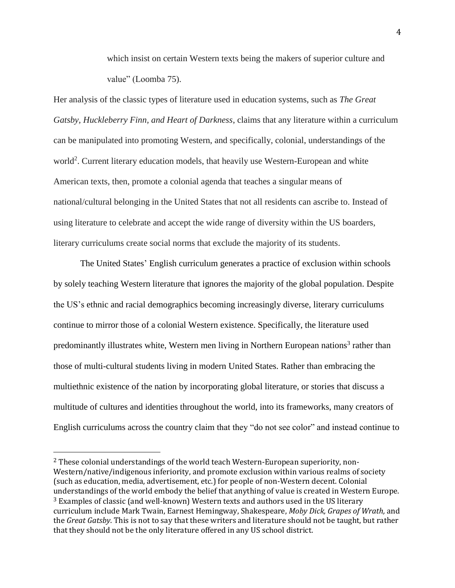which insist on certain Western texts being the makers of superior culture and value" (Loomba 75).

Her analysis of the classic types of literature used in education systems, such as *The Great Gatsby, Huckleberry Finn, and Heart of Darkness*, claims that any literature within a curriculum can be manipulated into promoting Western, and specifically, colonial, understandings of the world<sup>2</sup>. Current literary education models, that heavily use Western-European and white American texts, then, promote a colonial agenda that teaches a singular means of national/cultural belonging in the United States that not all residents can ascribe to. Instead of using literature to celebrate and accept the wide range of diversity within the US boarders, literary curriculums create social norms that exclude the majority of its students.

The United States' English curriculum generates a practice of exclusion within schools by solely teaching Western literature that ignores the majority of the global population. Despite the US's ethnic and racial demographics becoming increasingly diverse, literary curriculums continue to mirror those of a colonial Western existence. Specifically, the literature used predominantly illustrates white, Western men living in Northern European nations<sup>3</sup> rather than those of multi-cultural students living in modern United States. Rather than embracing the multiethnic existence of the nation by incorporating global literature, or stories that discuss a multitude of cultures and identities throughout the world, into its frameworks, many creators of English curriculums across the country claim that they "do not see color" and instead continue to

 $\overline{a}$ 

<sup>2</sup> These colonial understandings of the world teach Western-European superiority, non-Western/native/indigenous inferiority, and promote exclusion within various realms of society (such as education, media, advertisement, etc.) for people of non-Western decent. Colonial understandings of the world embody the belief that anything of value is created in Western Europe. <sup>3</sup> Examples of classic (and well-known) Western texts and authors used in the US literary curriculum include Mark Twain, Earnest Hemingway, Shakespeare, *Moby Dick, Grapes of Wrath,* and the *Great Gatsby*. This is not to say that these writers and literature should not be taught, but rather that they should not be the only literature offered in any US school district.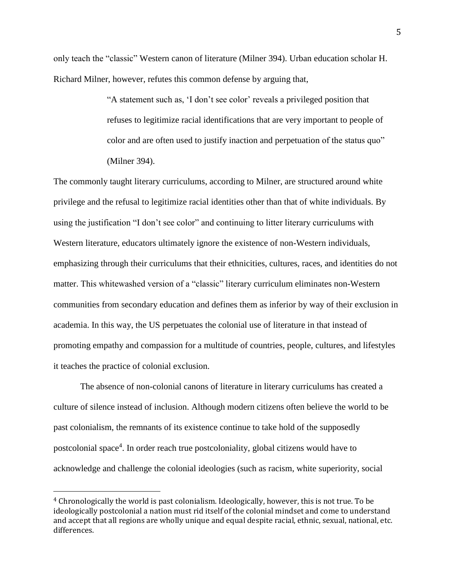only teach the "classic" Western canon of literature (Milner 394). Urban education scholar H. Richard Milner, however, refutes this common defense by arguing that,

> "A statement such as, 'I don't see color' reveals a privileged position that refuses to legitimize racial identifications that are very important to people of color and are often used to justify inaction and perpetuation of the status quo" (Milner 394).

The commonly taught literary curriculums, according to Milner, are structured around white privilege and the refusal to legitimize racial identities other than that of white individuals. By using the justification "I don't see color" and continuing to litter literary curriculums with Western literature, educators ultimately ignore the existence of non-Western individuals, emphasizing through their curriculums that their ethnicities, cultures, races, and identities do not matter. This whitewashed version of a "classic" literary curriculum eliminates non-Western communities from secondary education and defines them as inferior by way of their exclusion in academia. In this way, the US perpetuates the colonial use of literature in that instead of promoting empathy and compassion for a multitude of countries, people, cultures, and lifestyles it teaches the practice of colonial exclusion.

The absence of non-colonial canons of literature in literary curriculums has created a culture of silence instead of inclusion. Although modern citizens often believe the world to be past colonialism, the remnants of its existence continue to take hold of the supposedly postcolonial space<sup>4</sup>. In order reach true postcoloniality, global citizens would have to acknowledge and challenge the colonial ideologies (such as racism, white superiority, social

 $\overline{a}$ 

<sup>4</sup> Chronologically the world is past colonialism. Ideologically, however, this is not true. To be ideologically postcolonial a nation must rid itself of the colonial mindset and come to understand and accept that all regions are wholly unique and equal despite racial, ethnic, sexual, national, etc. differences.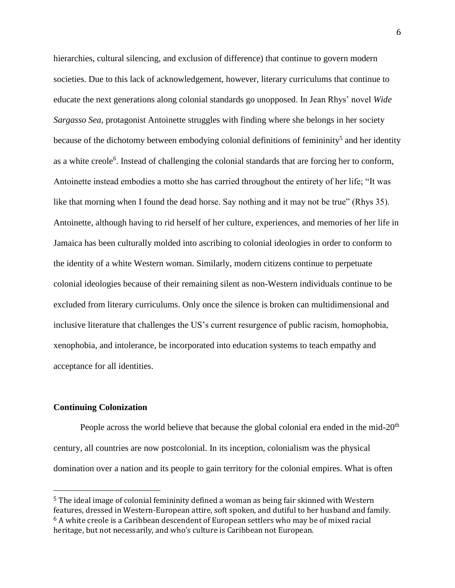hierarchies, cultural silencing, and exclusion of difference) that continue to govern modern societies. Due to this lack of acknowledgement, however, literary curriculums that continue to educate the next generations along colonial standards go unopposed. In Jean Rhys' novel *Wide Sargasso Sea*, protagonist Antoinette struggles with finding where she belongs in her society because of the dichotomy between embodying colonial definitions of femininity<sup>5</sup> and her identity as a white creole<sup>6</sup>. Instead of challenging the colonial standards that are forcing her to conform, Antoinette instead embodies a motto she has carried throughout the entirety of her life; "It was like that morning when I found the dead horse. Say nothing and it may not be true" (Rhys 35). Antoinette, although having to rid herself of her culture, experiences, and memories of her life in Jamaica has been culturally molded into ascribing to colonial ideologies in order to conform to the identity of a white Western woman. Similarly, modern citizens continue to perpetuate colonial ideologies because of their remaining silent as non-Western individuals continue to be excluded from literary curriculums. Only once the silence is broken can multidimensional and inclusive literature that challenges the US's current resurgence of public racism, homophobia, xenophobia, and intolerance, be incorporated into education systems to teach empathy and acceptance for all identities.

#### **Continuing Colonization**

 $\overline{a}$ 

People across the world believe that because the global colonial era ended in the mid- $20<sup>th</sup>$ century, all countries are now postcolonial. In its inception, colonialism was the physical domination over a nation and its people to gain territory for the colonial empires. What is often

<sup>5</sup> The ideal image of colonial femininity defined a woman as being fair skinned with Western features, dressed in Western-European attire, soft spoken, and dutiful to her husband and family.  $6$  A white creole is a Caribbean descendent of European settlers who may be of mixed racial heritage, but not necessarily, and who's culture is Caribbean not European.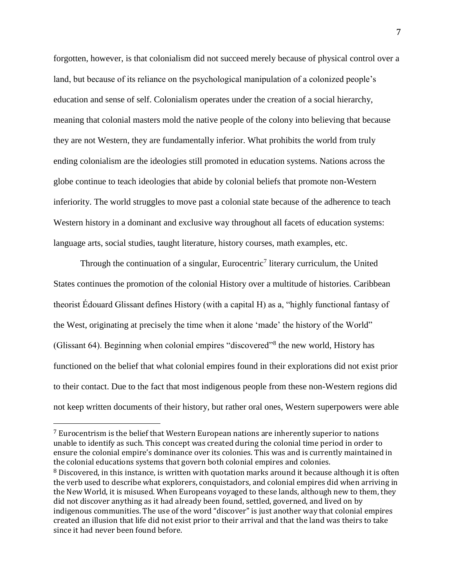forgotten, however, is that colonialism did not succeed merely because of physical control over a land, but because of its reliance on the psychological manipulation of a colonized people's education and sense of self. Colonialism operates under the creation of a social hierarchy, meaning that colonial masters mold the native people of the colony into believing that because they are not Western, they are fundamentally inferior. What prohibits the world from truly ending colonialism are the ideologies still promoted in education systems. Nations across the globe continue to teach ideologies that abide by colonial beliefs that promote non-Western inferiority. The world struggles to move past a colonial state because of the adherence to teach Western history in a dominant and exclusive way throughout all facets of education systems: language arts, social studies, taught literature, history courses, math examples, etc.

Through the continuation of a singular, Eurocentric<sup>7</sup> literary curriculum, the United States continues the promotion of the colonial History over a multitude of histories. Caribbean theorist Édouard Glissant defines History (with a capital H) as a, "highly functional fantasy of the West, originating at precisely the time when it alone 'made' the history of the World" (Glissant 64). Beginning when colonial empires "discovered"<sup>8</sup> the new world, History has functioned on the belief that what colonial empires found in their explorations did not exist prior to their contact. Due to the fact that most indigenous people from these non-Western regions did not keep written documents of their history, but rather oral ones, Western superpowers were able

<sup>7</sup> Eurocentrism is the belief that Western European nations are inherently superior to nations unable to identify as such. This concept was created during the colonial time period in order to ensure the colonial empire's dominance over its colonies. This was and is currently maintained in the colonial educations systems that govern both colonial empires and colonies. <sup>8</sup> Discovered, in this instance, is written with quotation marks around it because although it is often the verb used to describe what explorers, conquistadors, and colonial empires did when arriving in the New World, it is misused. When Europeans voyaged to these lands, although new to them, they did not discover anything as it had already been found, settled, governed, and lived on by indigenous communities. The use of the word "discover" is just another way that colonial empires created an illusion that life did not exist prior to their arrival and that the land was theirs to take since it had never been found before.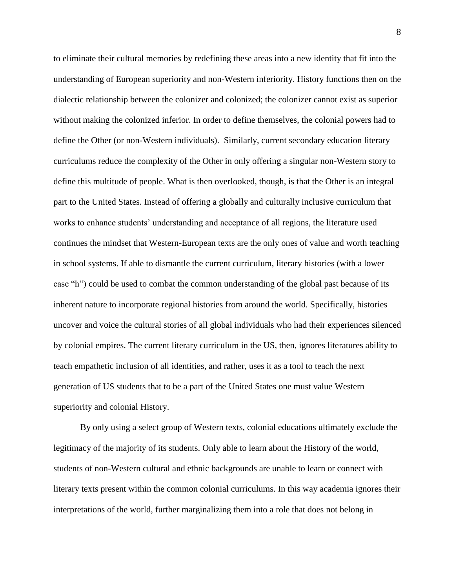to eliminate their cultural memories by redefining these areas into a new identity that fit into the understanding of European superiority and non-Western inferiority. History functions then on the dialectic relationship between the colonizer and colonized; the colonizer cannot exist as superior without making the colonized inferior. In order to define themselves, the colonial powers had to define the Other (or non-Western individuals). Similarly, current secondary education literary curriculums reduce the complexity of the Other in only offering a singular non-Western story to define this multitude of people. What is then overlooked, though, is that the Other is an integral part to the United States. Instead of offering a globally and culturally inclusive curriculum that works to enhance students' understanding and acceptance of all regions, the literature used continues the mindset that Western-European texts are the only ones of value and worth teaching in school systems. If able to dismantle the current curriculum, literary histories (with a lower case "h") could be used to combat the common understanding of the global past because of its inherent nature to incorporate regional histories from around the world. Specifically, histories uncover and voice the cultural stories of all global individuals who had their experiences silenced by colonial empires. The current literary curriculum in the US, then, ignores literatures ability to teach empathetic inclusion of all identities, and rather, uses it as a tool to teach the next generation of US students that to be a part of the United States one must value Western superiority and colonial History.

By only using a select group of Western texts, colonial educations ultimately exclude the legitimacy of the majority of its students. Only able to learn about the History of the world, students of non-Western cultural and ethnic backgrounds are unable to learn or connect with literary texts present within the common colonial curriculums. In this way academia ignores their interpretations of the world, further marginalizing them into a role that does not belong in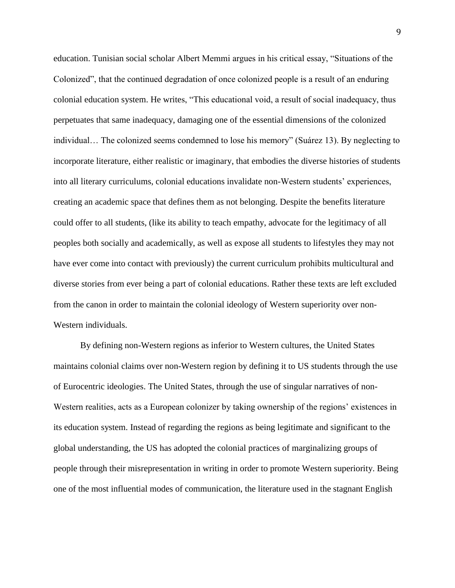education. Tunisian social scholar Albert Memmi argues in his critical essay, "Situations of the Colonized", that the continued degradation of once colonized people is a result of an enduring colonial education system. He writes, "This educational void, a result of social inadequacy, thus perpetuates that same inadequacy, damaging one of the essential dimensions of the colonized individual… The colonized seems condemned to lose his memory" (Suárez 13). By neglecting to incorporate literature, either realistic or imaginary, that embodies the diverse histories of students into all literary curriculums, colonial educations invalidate non-Western students' experiences, creating an academic space that defines them as not belonging. Despite the benefits literature could offer to all students, (like its ability to teach empathy, advocate for the legitimacy of all peoples both socially and academically, as well as expose all students to lifestyles they may not have ever come into contact with previously) the current curriculum prohibits multicultural and diverse stories from ever being a part of colonial educations. Rather these texts are left excluded from the canon in order to maintain the colonial ideology of Western superiority over non-Western individuals.

By defining non-Western regions as inferior to Western cultures, the United States maintains colonial claims over non-Western region by defining it to US students through the use of Eurocentric ideologies. The United States, through the use of singular narratives of non-Western realities, acts as a European colonizer by taking ownership of the regions' existences in its education system. Instead of regarding the regions as being legitimate and significant to the global understanding, the US has adopted the colonial practices of marginalizing groups of people through their misrepresentation in writing in order to promote Western superiority. Being one of the most influential modes of communication, the literature used in the stagnant English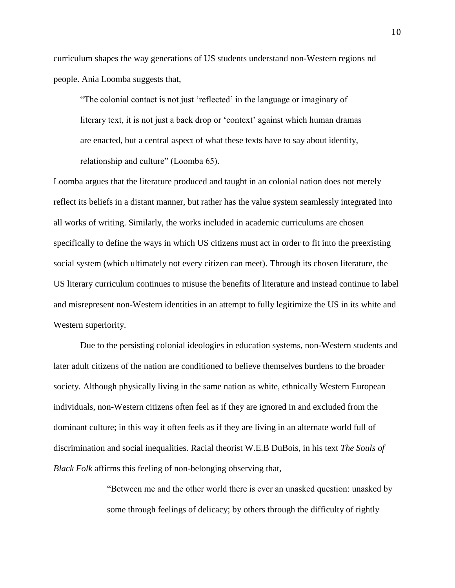curriculum shapes the way generations of US students understand non-Western regions nd people. Ania Loomba suggests that,

"The colonial contact is not just 'reflected' in the language or imaginary of literary text, it is not just a back drop or 'context' against which human dramas are enacted, but a central aspect of what these texts have to say about identity, relationship and culture" (Loomba 65).

Loomba argues that the literature produced and taught in an colonial nation does not merely reflect its beliefs in a distant manner, but rather has the value system seamlessly integrated into all works of writing. Similarly, the works included in academic curriculums are chosen specifically to define the ways in which US citizens must act in order to fit into the preexisting social system (which ultimately not every citizen can meet). Through its chosen literature, the US literary curriculum continues to misuse the benefits of literature and instead continue to label and misrepresent non-Western identities in an attempt to fully legitimize the US in its white and Western superiority.

Due to the persisting colonial ideologies in education systems, non-Western students and later adult citizens of the nation are conditioned to believe themselves burdens to the broader society. Although physically living in the same nation as white, ethnically Western European individuals, non-Western citizens often feel as if they are ignored in and excluded from the dominant culture; in this way it often feels as if they are living in an alternate world full of discrimination and social inequalities. Racial theorist W.E.B DuBois, in his text *The Souls of Black Folk* affirms this feeling of non-belonging observing that,

> "Between me and the other world there is ever an unasked question: unasked by some through feelings of delicacy; by others through the difficulty of rightly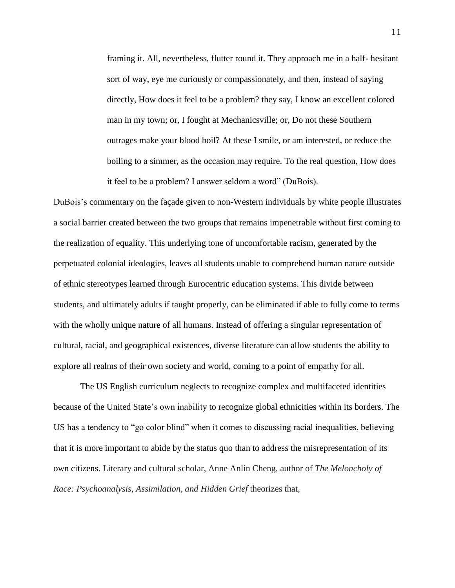framing it. All, nevertheless, flutter round it. They approach me in a half- hesitant sort of way, eye me curiously or compassionately, and then, instead of saying directly, How does it feel to be a problem? they say, I know an excellent colored man in my town; or, I fought at Mechanicsville; or, Do not these Southern outrages make your blood boil? At these I smile, or am interested, or reduce the boiling to a simmer, as the occasion may require. To the real question, How does it feel to be a problem? I answer seldom a word" (DuBois).

DuBois's commentary on the façade given to non-Western individuals by white people illustrates a social barrier created between the two groups that remains impenetrable without first coming to the realization of equality. This underlying tone of uncomfortable racism, generated by the perpetuated colonial ideologies, leaves all students unable to comprehend human nature outside of ethnic stereotypes learned through Eurocentric education systems. This divide between students, and ultimately adults if taught properly, can be eliminated if able to fully come to terms with the wholly unique nature of all humans. Instead of offering a singular representation of cultural, racial, and geographical existences, diverse literature can allow students the ability to explore all realms of their own society and world, coming to a point of empathy for all.

The US English curriculum neglects to recognize complex and multifaceted identities because of the United State's own inability to recognize global ethnicities within its borders. The US has a tendency to "go color blind" when it comes to discussing racial inequalities, believing that it is more important to abide by the status quo than to address the misrepresentation of its own citizens. Literary and cultural scholar, Anne Anlin Cheng, author of *The Meloncholy of Race: Psychoanalysis, Assimilation, and Hidden Grief* theorizes that,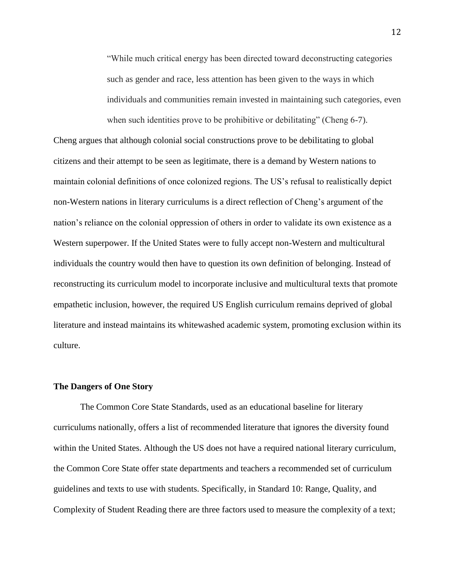"While much critical energy has been directed toward deconstructing categories such as gender and race, less attention has been given to the ways in which individuals and communities remain invested in maintaining such categories, even when such identities prove to be prohibitive or debilitating" (Cheng 6-7).

Cheng argues that although colonial social constructions prove to be debilitating to global citizens and their attempt to be seen as legitimate, there is a demand by Western nations to maintain colonial definitions of once colonized regions. The US's refusal to realistically depict non-Western nations in literary curriculums is a direct reflection of Cheng's argument of the nation's reliance on the colonial oppression of others in order to validate its own existence as a Western superpower. If the United States were to fully accept non-Western and multicultural individuals the country would then have to question its own definition of belonging. Instead of reconstructing its curriculum model to incorporate inclusive and multicultural texts that promote empathetic inclusion, however, the required US English curriculum remains deprived of global literature and instead maintains its whitewashed academic system, promoting exclusion within its culture.

#### **The Dangers of One Story**

The Common Core State Standards, used as an educational baseline for literary curriculums nationally, offers a list of recommended literature that ignores the diversity found within the United States. Although the US does not have a required national literary curriculum, the Common Core State offer state departments and teachers a recommended set of curriculum guidelines and texts to use with students. Specifically, in Standard 10: Range, Quality, and Complexity of Student Reading there are three factors used to measure the complexity of a text;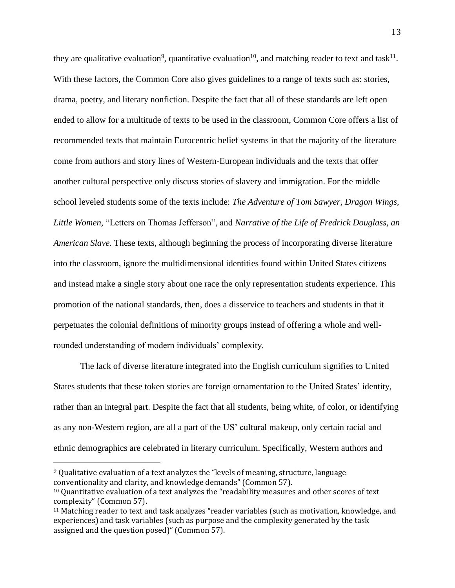they are qualitative evaluation<sup>9</sup>, quantitative evaluation<sup>10</sup>, and matching reader to text and task<sup>11</sup>. With these factors, the Common Core also gives guidelines to a range of texts such as: stories, drama, poetry, and literary nonfiction. Despite the fact that all of these standards are left open ended to allow for a multitude of texts to be used in the classroom, Common Core offers a list of recommended texts that maintain Eurocentric belief systems in that the majority of the literature come from authors and story lines of Western-European individuals and the texts that offer another cultural perspective only discuss stories of slavery and immigration. For the middle school leveled students some of the texts include: *The Adventure of Tom Sawyer*, *Dragon Wings, Little Women,* "Letters on Thomas Jefferson", and *Narrative of the Life of Fredrick Douglass, an American Slave.* These texts, although beginning the process of incorporating diverse literature into the classroom, ignore the multidimensional identities found within United States citizens and instead make a single story about one race the only representation students experience. This promotion of the national standards, then, does a disservice to teachers and students in that it perpetuates the colonial definitions of minority groups instead of offering a whole and wellrounded understanding of modern individuals' complexity.

The lack of diverse literature integrated into the English curriculum signifies to United States students that these token stories are foreign ornamentation to the United States' identity, rather than an integral part. Despite the fact that all students, being white, of color, or identifying as any non-Western region, are all a part of the US' cultural makeup, only certain racial and ethnic demographics are celebrated in literary curriculum. Specifically, Western authors and

<sup>9</sup> Qualitative evaluation of a text analyzes the "levels of meaning, structure, language conventionality and clarity, and knowledge demands" (Common 57).

<sup>10</sup> Quantitative evaluation of a text analyzes the "readability measures and other scores of text complexity" (Common 57).

<sup>11</sup> Matching reader to text and task analyzes "reader variables (such as motivation, knowledge, and experiences) and task variables (such as purpose and the complexity generated by the task assigned and the question posed)" (Common 57).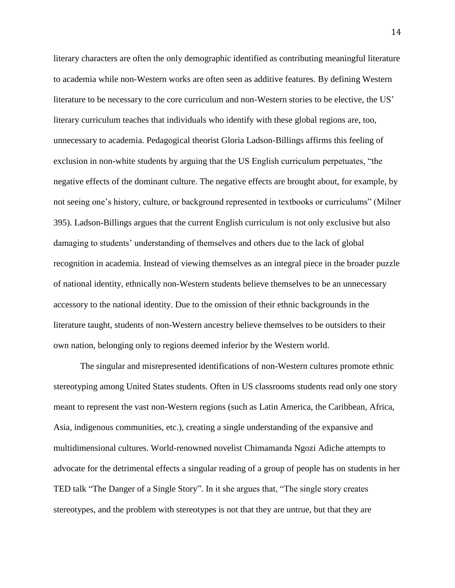literary characters are often the only demographic identified as contributing meaningful literature to academia while non-Western works are often seen as additive features. By defining Western literature to be necessary to the core curriculum and non-Western stories to be elective, the US' literary curriculum teaches that individuals who identify with these global regions are, too, unnecessary to academia. Pedagogical theorist Gloria Ladson-Billings affirms this feeling of exclusion in non-white students by arguing that the US English curriculum perpetuates, "the negative effects of the dominant culture. The negative effects are brought about, for example, by not seeing one's history, culture, or background represented in textbooks or curriculums" (Milner 395). Ladson-Billings argues that the current English curriculum is not only exclusive but also damaging to students' understanding of themselves and others due to the lack of global recognition in academia. Instead of viewing themselves as an integral piece in the broader puzzle of national identity, ethnically non-Western students believe themselves to be an unnecessary accessory to the national identity. Due to the omission of their ethnic backgrounds in the literature taught, students of non-Western ancestry believe themselves to be outsiders to their own nation, belonging only to regions deemed inferior by the Western world.

The singular and misrepresented identifications of non-Western cultures promote ethnic stereotyping among United States students. Often in US classrooms students read only one story meant to represent the vast non-Western regions (such as Latin America, the Caribbean, Africa, Asia, indigenous communities, etc.), creating a single understanding of the expansive and multidimensional cultures. World-renowned novelist Chimamanda Ngozi Adiche attempts to advocate for the detrimental effects a singular reading of a group of people has on students in her TED talk "The Danger of a Single Story". In it she argues that, "The single story creates stereotypes, and the problem with stereotypes is not that they are untrue, but that they are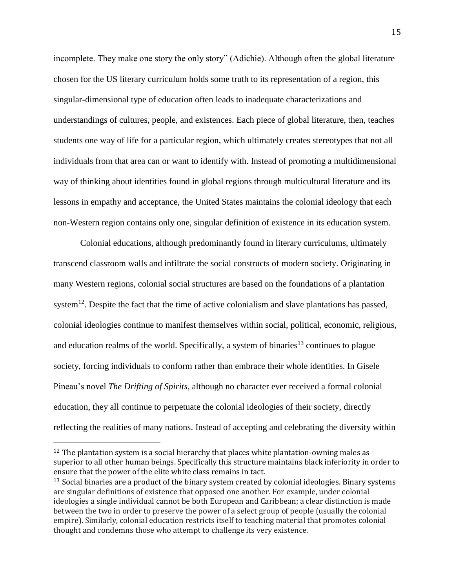incomplete. They make one story the only story" (Adichie). Although often the global literature chosen for the US literary curriculum holds some truth to its representation of a region, this singular-dimensional type of education often leads to inadequate characterizations and understandings of cultures, people, and existences. Each piece of global literature, then, teaches students one way of life for a particular region, which ultimately creates stereotypes that not all individuals from that area can or want to identify with. Instead of promoting a multidimensional way of thinking about identities found in global regions through multicultural literature and its lessons in empathy and acceptance, the United States maintains the colonial ideology that each non-Western region contains only one, singular definition of existence in its education system.

Colonial educations, although predominantly found in literary curriculums, ultimately transcend classroom walls and infiltrate the social constructs of modern society. Originating in many Western regions, colonial social structures are based on the foundations of a plantation system<sup>12</sup>. Despite the fact that the time of active colonialism and slave plantations has passed, colonial ideologies continue to manifest themselves within social, political, economic, religious, and education realms of the world. Specifically, a system of binaries<sup>13</sup> continues to plague society, forcing individuals to conform rather than embrace their whole identities. In Gisele Pineau's novel *The Drifting of Spirits*, although no character ever received a formal colonial education, they all continue to perpetuate the colonial ideologies of their society, directly reflecting the realities of many nations. Instead of accepting and celebrating the diversity within

 $12$  The plantation system is a social hierarchy that places white plantation-owning males as superior to all other human beings. Specifically this structure maintains black inferiority in order to ensure that the power of the elite white class remains in tact.

<sup>&</sup>lt;sup>13</sup> Social binaries are a product of the binary system created by colonial ideologies. Binary systems are singular definitions of existence that opposed one another. For example, under colonial ideologies a single individual cannot be both European and Caribbean; a clear distinction is made between the two in order to preserve the power of a select group of people (usually the colonial empire). Similarly, colonial education restricts itself to teaching material that promotes colonial thought and condemns those who attempt to challenge its very existence.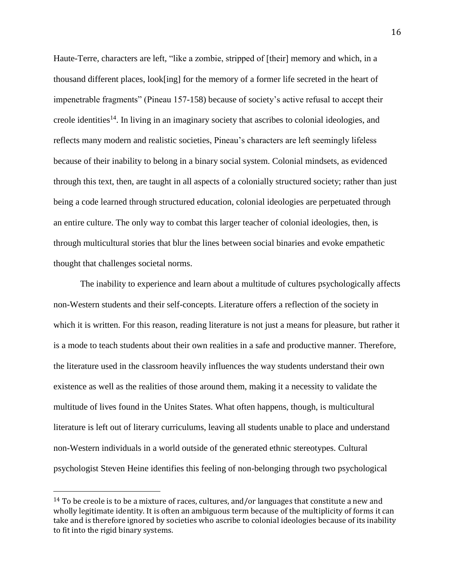Haute-Terre, characters are left, "like a zombie, stripped of [their] memory and which, in a thousand different places, look[ing] for the memory of a former life secreted in the heart of impenetrable fragments" (Pineau 157-158) because of society's active refusal to accept their creole identities<sup>14</sup>. In living in an imaginary society that ascribes to colonial ideologies, and reflects many modern and realistic societies, Pineau's characters are left seemingly lifeless because of their inability to belong in a binary social system. Colonial mindsets, as evidenced through this text, then, are taught in all aspects of a colonially structured society; rather than just being a code learned through structured education, colonial ideologies are perpetuated through an entire culture. The only way to combat this larger teacher of colonial ideologies, then, is through multicultural stories that blur the lines between social binaries and evoke empathetic thought that challenges societal norms.

The inability to experience and learn about a multitude of cultures psychologically affects non-Western students and their self-concepts. Literature offers a reflection of the society in which it is written. For this reason, reading literature is not just a means for pleasure, but rather it is a mode to teach students about their own realities in a safe and productive manner. Therefore, the literature used in the classroom heavily influences the way students understand their own existence as well as the realities of those around them, making it a necessity to validate the multitude of lives found in the Unites States. What often happens, though, is multicultural literature is left out of literary curriculums, leaving all students unable to place and understand non-Western individuals in a world outside of the generated ethnic stereotypes. Cultural psychologist Steven Heine identifies this feeling of non-belonging through two psychological

 $14$  To be creole is to be a mixture of races, cultures, and/or languages that constitute a new and wholly legitimate identity. It is often an ambiguous term because of the multiplicity of forms it can take and is therefore ignored by societies who ascribe to colonial ideologies because of its inability to fit into the rigid binary systems.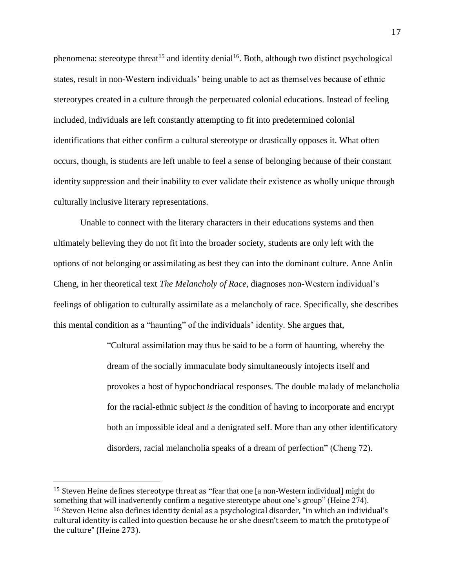phenomena: stereotype threat<sup>15</sup> and identity denial<sup>16</sup>. Both, although two distinct psychological states, result in non-Western individuals' being unable to act as themselves because of ethnic stereotypes created in a culture through the perpetuated colonial educations. Instead of feeling included, individuals are left constantly attempting to fit into predetermined colonial identifications that either confirm a cultural stereotype or drastically opposes it. What often occurs, though, is students are left unable to feel a sense of belonging because of their constant identity suppression and their inability to ever validate their existence as wholly unique through culturally inclusive literary representations.

Unable to connect with the literary characters in their educations systems and then ultimately believing they do not fit into the broader society, students are only left with the options of not belonging or assimilating as best they can into the dominant culture. Anne Anlin Cheng, in her theoretical text *The Melancholy of Race,* diagnoses non-Western individual's feelings of obligation to culturally assimilate as a melancholy of race. Specifically, she describes this mental condition as a "haunting" of the individuals' identity. She argues that,

> "Cultural assimilation may thus be said to be a form of haunting, whereby the dream of the socially immaculate body simultaneously intojects itself and provokes a host of hypochondriacal responses. The double malady of melancholia for the racial-ethnic subject *is* the condition of having to incorporate and encrypt both an impossible ideal and a denigrated self. More than any other identificatory disorders, racial melancholia speaks of a dream of perfection" (Cheng 72).

<sup>15</sup> Steven Heine defines stereotype threat as "fear that one [a non-Western individual] might do something that will inadvertently confirm a negative stereotype about one's group" (Heine 274). <sup>16</sup> Steven Heine also defines identity denial as a psychological disorder, "in which an individual's cultural identity is called into question because he or she doesn't seem to match the prototype of the culture" (Heine 273).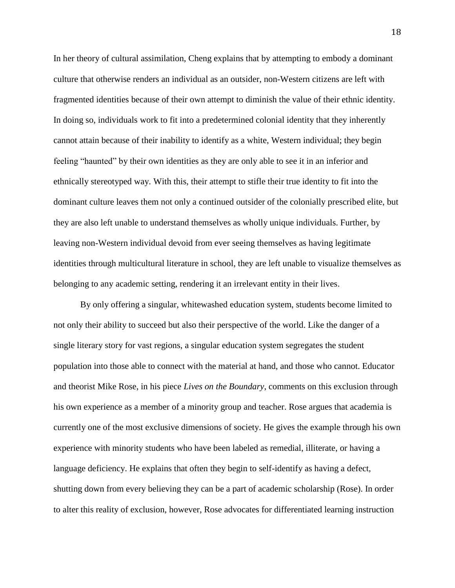In her theory of cultural assimilation, Cheng explains that by attempting to embody a dominant culture that otherwise renders an individual as an outsider, non-Western citizens are left with fragmented identities because of their own attempt to diminish the value of their ethnic identity. In doing so, individuals work to fit into a predetermined colonial identity that they inherently cannot attain because of their inability to identify as a white, Western individual; they begin feeling "haunted" by their own identities as they are only able to see it in an inferior and ethnically stereotyped way. With this, their attempt to stifle their true identity to fit into the dominant culture leaves them not only a continued outsider of the colonially prescribed elite, but they are also left unable to understand themselves as wholly unique individuals. Further, by leaving non-Western individual devoid from ever seeing themselves as having legitimate identities through multicultural literature in school, they are left unable to visualize themselves as belonging to any academic setting, rendering it an irrelevant entity in their lives.

By only offering a singular, whitewashed education system, students become limited to not only their ability to succeed but also their perspective of the world. Like the danger of a single literary story for vast regions, a singular education system segregates the student population into those able to connect with the material at hand, and those who cannot. Educator and theorist Mike Rose, in his piece *Lives on the Boundary*, comments on this exclusion through his own experience as a member of a minority group and teacher. Rose argues that academia is currently one of the most exclusive dimensions of society. He gives the example through his own experience with minority students who have been labeled as remedial, illiterate, or having a language deficiency. He explains that often they begin to self-identify as having a defect, shutting down from every believing they can be a part of academic scholarship (Rose). In order to alter this reality of exclusion, however, Rose advocates for differentiated learning instruction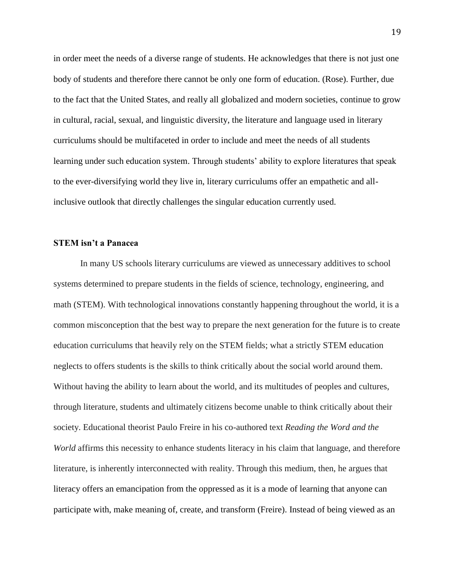in order meet the needs of a diverse range of students. He acknowledges that there is not just one body of students and therefore there cannot be only one form of education. (Rose). Further, due to the fact that the United States, and really all globalized and modern societies, continue to grow in cultural, racial, sexual, and linguistic diversity, the literature and language used in literary curriculums should be multifaceted in order to include and meet the needs of all students learning under such education system. Through students' ability to explore literatures that speak to the ever-diversifying world they live in, literary curriculums offer an empathetic and allinclusive outlook that directly challenges the singular education currently used.

#### **STEM isn't a Panacea**

In many US schools literary curriculums are viewed as unnecessary additives to school systems determined to prepare students in the fields of science, technology, engineering, and math (STEM). With technological innovations constantly happening throughout the world, it is a common misconception that the best way to prepare the next generation for the future is to create education curriculums that heavily rely on the STEM fields; what a strictly STEM education neglects to offers students is the skills to think critically about the social world around them. Without having the ability to learn about the world, and its multitudes of peoples and cultures, through literature, students and ultimately citizens become unable to think critically about their society. Educational theorist Paulo Freire in his co-authored text *Reading the Word and the World* affirms this necessity to enhance students literacy in his claim that language, and therefore literature, is inherently interconnected with reality. Through this medium, then, he argues that literacy offers an emancipation from the oppressed as it is a mode of learning that anyone can participate with, make meaning of, create, and transform (Freire). Instead of being viewed as an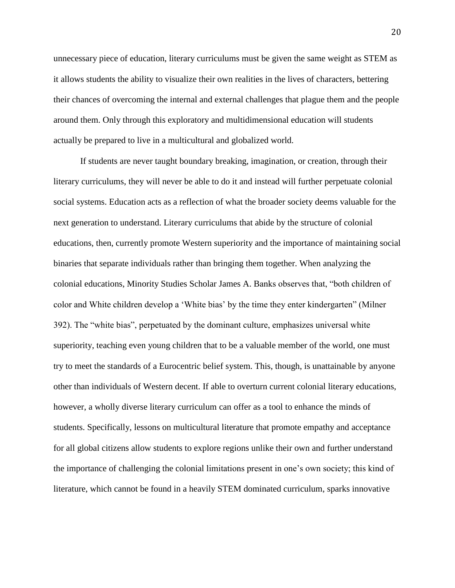unnecessary piece of education, literary curriculums must be given the same weight as STEM as it allows students the ability to visualize their own realities in the lives of characters, bettering their chances of overcoming the internal and external challenges that plague them and the people around them. Only through this exploratory and multidimensional education will students actually be prepared to live in a multicultural and globalized world.

If students are never taught boundary breaking, imagination, or creation, through their literary curriculums, they will never be able to do it and instead will further perpetuate colonial social systems. Education acts as a reflection of what the broader society deems valuable for the next generation to understand. Literary curriculums that abide by the structure of colonial educations, then, currently promote Western superiority and the importance of maintaining social binaries that separate individuals rather than bringing them together. When analyzing the colonial educations, Minority Studies Scholar James A. Banks observes that, "both children of color and White children develop a 'White bias' by the time they enter kindergarten" (Milner 392). The "white bias", perpetuated by the dominant culture, emphasizes universal white superiority, teaching even young children that to be a valuable member of the world, one must try to meet the standards of a Eurocentric belief system. This, though, is unattainable by anyone other than individuals of Western decent. If able to overturn current colonial literary educations, however, a wholly diverse literary curriculum can offer as a tool to enhance the minds of students. Specifically, lessons on multicultural literature that promote empathy and acceptance for all global citizens allow students to explore regions unlike their own and further understand the importance of challenging the colonial limitations present in one's own society; this kind of literature, which cannot be found in a heavily STEM dominated curriculum, sparks innovative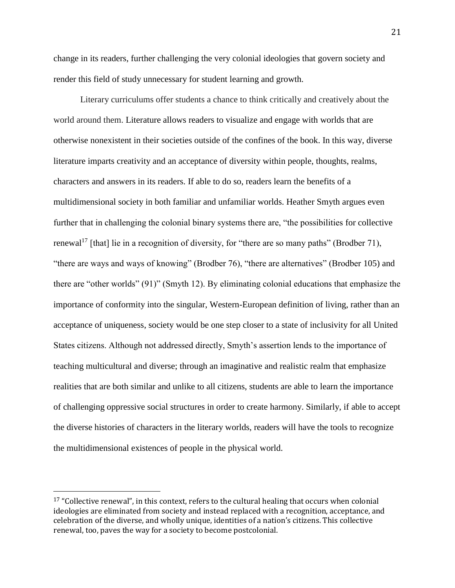change in its readers, further challenging the very colonial ideologies that govern society and render this field of study unnecessary for student learning and growth.

Literary curriculums offer students a chance to think critically and creatively about the world around them. Literature allows readers to visualize and engage with worlds that are otherwise nonexistent in their societies outside of the confines of the book. In this way, diverse literature imparts creativity and an acceptance of diversity within people, thoughts, realms, characters and answers in its readers. If able to do so, readers learn the benefits of a multidimensional society in both familiar and unfamiliar worlds. Heather Smyth argues even further that in challenging the colonial binary systems there are, "the possibilities for collective renewal<sup>17</sup> [that] lie in a recognition of diversity, for "there are so many paths" (Brodber 71), "there are ways and ways of knowing" (Brodber 76), "there are alternatives" (Brodber 105) and there are "other worlds" (91)" (Smyth 12). By eliminating colonial educations that emphasize the importance of conformity into the singular, Western-European definition of living, rather than an acceptance of uniqueness, society would be one step closer to a state of inclusivity for all United States citizens. Although not addressed directly, Smyth's assertion lends to the importance of teaching multicultural and diverse; through an imaginative and realistic realm that emphasize realities that are both similar and unlike to all citizens, students are able to learn the importance of challenging oppressive social structures in order to create harmony. Similarly, if able to accept the diverse histories of characters in the literary worlds, readers will have the tools to recognize the multidimensional existences of people in the physical world.

 $17$  "Collective renewal", in this context, refers to the cultural healing that occurs when colonial ideologies are eliminated from society and instead replaced with a recognition, acceptance, and celebration of the diverse, and wholly unique, identities of a nation's citizens. This collective renewal, too, paves the way for a society to become postcolonial.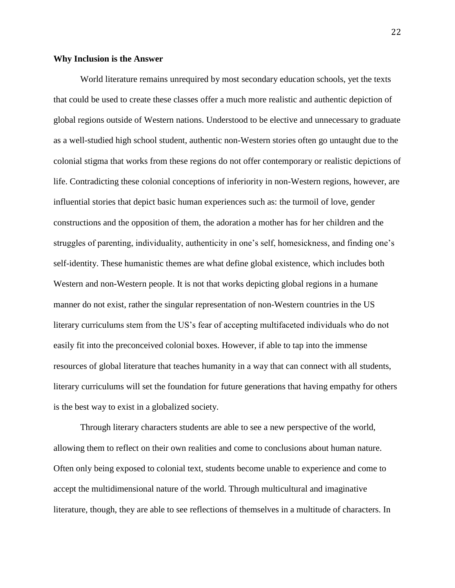#### **Why Inclusion is the Answer**

World literature remains unrequired by most secondary education schools, yet the texts that could be used to create these classes offer a much more realistic and authentic depiction of global regions outside of Western nations. Understood to be elective and unnecessary to graduate as a well-studied high school student, authentic non-Western stories often go untaught due to the colonial stigma that works from these regions do not offer contemporary or realistic depictions of life. Contradicting these colonial conceptions of inferiority in non-Western regions, however, are influential stories that depict basic human experiences such as: the turmoil of love, gender constructions and the opposition of them, the adoration a mother has for her children and the struggles of parenting, individuality, authenticity in one's self, homesickness, and finding one's self-identity. These humanistic themes are what define global existence, which includes both Western and non-Western people. It is not that works depicting global regions in a humane manner do not exist, rather the singular representation of non-Western countries in the US literary curriculums stem from the US's fear of accepting multifaceted individuals who do not easily fit into the preconceived colonial boxes. However, if able to tap into the immense resources of global literature that teaches humanity in a way that can connect with all students, literary curriculums will set the foundation for future generations that having empathy for others is the best way to exist in a globalized society.

Through literary characters students are able to see a new perspective of the world, allowing them to reflect on their own realities and come to conclusions about human nature. Often only being exposed to colonial text, students become unable to experience and come to accept the multidimensional nature of the world. Through multicultural and imaginative literature, though, they are able to see reflections of themselves in a multitude of characters. In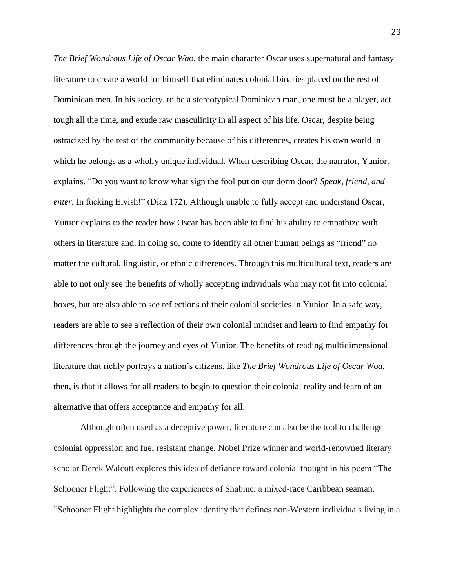*The Brief Wondrous Life of Oscar Wao,* the main character Oscar uses supernatural and fantasy literature to create a world for himself that eliminates colonial binaries placed on the rest of Dominican men. In his society, to be a stereotypical Dominican man, one must be a player, act tough all the time, and exude raw masculinity in all aspect of his life. Oscar, despite being ostracized by the rest of the community because of his differences, creates his own world in which he belongs as a wholly unique individual. When describing Oscar, the narrator, Yunior, explains, "Do you want to know what sign the fool put on our dorm door? *Speak, friend, and enter.* In fucking Elvish!" (Díaz 172). Although unable to fully accept and understand Oscar, Yunior explains to the reader how Oscar has been able to find his ability to empathize with others in literature and, in doing so, come to identify all other human beings as "friend" no matter the cultural, linguistic, or ethnic differences. Through this multicultural text, readers are able to not only see the benefits of wholly accepting individuals who may not fit into colonial boxes, but are also able to see reflections of their colonial societies in Yunior. In a safe way, readers are able to see a reflection of their own colonial mindset and learn to find empathy for differences through the journey and eyes of Yunior. The benefits of reading multidimensional literature that richly portrays a nation's citizens, like *The Brief Wondrous Life of Oscar Woa*, then, is that it allows for all readers to begin to question their colonial reality and learn of an alternative that offers acceptance and empathy for all.

Although often used as a deceptive power, literature can also be the tool to challenge colonial oppression and fuel resistant change. Nobel Prize winner and world-renowned literary scholar Derek Walcott explores this idea of defiance toward colonial thought in his poem "The Schooner Flight". Following the experiences of Shabine, a mixed-race Caribbean seaman, "Schooner Flight highlights the complex identity that defines non-Western individuals living in a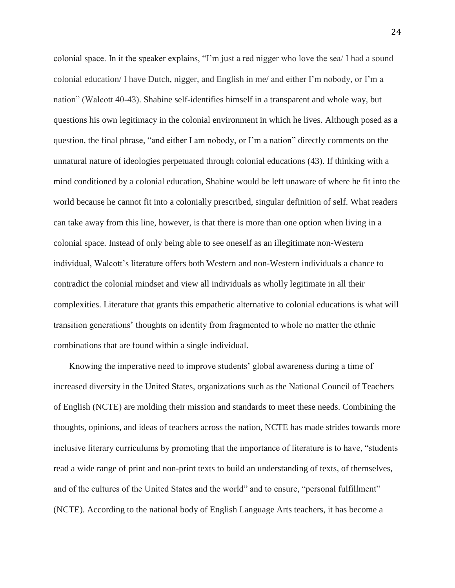colonial space. In it the speaker explains, "I'm just a red nigger who love the sea/ I had a sound colonial education/ I have Dutch, nigger, and English in me/ and either I'm nobody, or I'm a nation" (Walcott 40-43). Shabine self-identifies himself in a transparent and whole way, but questions his own legitimacy in the colonial environment in which he lives. Although posed as a question, the final phrase, "and either I am nobody, or I'm a nation" directly comments on the unnatural nature of ideologies perpetuated through colonial educations (43). If thinking with a mind conditioned by a colonial education, Shabine would be left unaware of where he fit into the world because he cannot fit into a colonially prescribed, singular definition of self. What readers can take away from this line, however, is that there is more than one option when living in a colonial space. Instead of only being able to see oneself as an illegitimate non-Western individual, Walcott's literature offers both Western and non-Western individuals a chance to contradict the colonial mindset and view all individuals as wholly legitimate in all their complexities. Literature that grants this empathetic alternative to colonial educations is what will transition generations' thoughts on identity from fragmented to whole no matter the ethnic combinations that are found within a single individual.

 Knowing the imperative need to improve students' global awareness during a time of increased diversity in the United States, organizations such as the National Council of Teachers of English (NCTE) are molding their mission and standards to meet these needs. Combining the thoughts, opinions, and ideas of teachers across the nation, NCTE has made strides towards more inclusive literary curriculums by promoting that the importance of literature is to have, "students read a wide range of print and non-print texts to build an understanding of texts, of themselves, and of the cultures of the United States and the world" and to ensure, "personal fulfillment" (NCTE). According to the national body of English Language Arts teachers, it has become a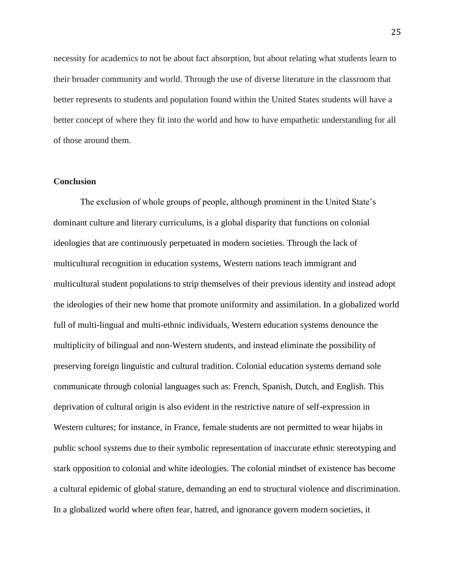necessity for academics to not be about fact absorption, but about relating what students learn to their broader community and world. Through the use of diverse literature in the classroom that better represents to students and population found within the United States students will have a better concept of where they fit into the world and how to have empathetic understanding for all of those around them.

#### **Conclusion**

The exclusion of whole groups of people, although prominent in the United State's dominant culture and literary curriculums, is a global disparity that functions on colonial ideologies that are continuously perpetuated in modern societies. Through the lack of multicultural recognition in education systems, Western nations teach immigrant and multicultural student populations to strip themselves of their previous identity and instead adopt the ideologies of their new home that promote uniformity and assimilation. In a globalized world full of multi-lingual and multi-ethnic individuals, Western education systems denounce the multiplicity of bilingual and non-Western students, and instead eliminate the possibility of preserving foreign linguistic and cultural tradition. Colonial education systems demand sole communicate through colonial languages such as: French, Spanish, Dutch, and English. This deprivation of cultural origin is also evident in the restrictive nature of self-expression in Western cultures; for instance, in France, female students are not permitted to wear hijabs in public school systems due to their symbolic representation of inaccurate ethnic stereotyping and stark opposition to colonial and white ideologies. The colonial mindset of existence has become a cultural epidemic of global stature, demanding an end to structural violence and discrimination. In a globalized world where often fear, hatred, and ignorance govern modern societies, it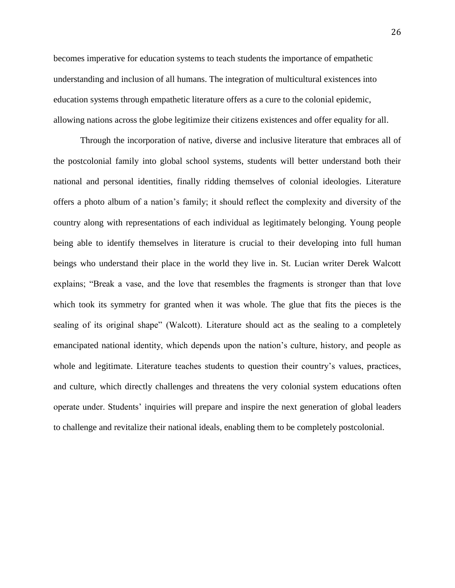becomes imperative for education systems to teach students the importance of empathetic understanding and inclusion of all humans. The integration of multicultural existences into education systems through empathetic literature offers as a cure to the colonial epidemic, allowing nations across the globe legitimize their citizens existences and offer equality for all.

Through the incorporation of native, diverse and inclusive literature that embraces all of the postcolonial family into global school systems, students will better understand both their national and personal identities, finally ridding themselves of colonial ideologies. Literature offers a photo album of a nation's family; it should reflect the complexity and diversity of the country along with representations of each individual as legitimately belonging. Young people being able to identify themselves in literature is crucial to their developing into full human beings who understand their place in the world they live in. St. Lucian writer Derek Walcott explains; "Break a vase, and the love that resembles the fragments is stronger than that love which took its symmetry for granted when it was whole. The glue that fits the pieces is the sealing of its original shape" (Walcott). Literature should act as the sealing to a completely emancipated national identity, which depends upon the nation's culture, history, and people as whole and legitimate. Literature teaches students to question their country's values, practices, and culture, which directly challenges and threatens the very colonial system educations often operate under. Students' inquiries will prepare and inspire the next generation of global leaders to challenge and revitalize their national ideals, enabling them to be completely postcolonial.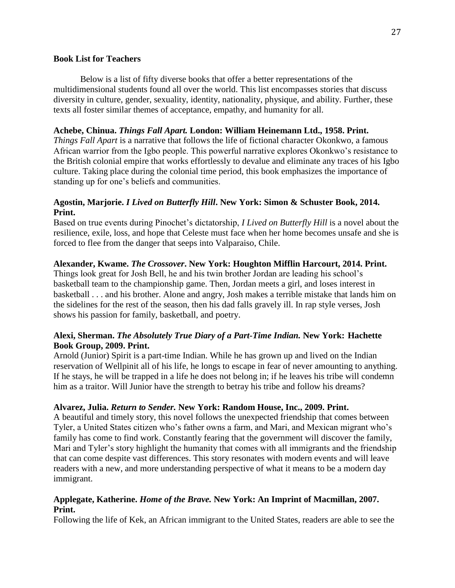#### **Book List for Teachers**

Below is a list of fifty diverse books that offer a better representations of the multidimensional students found all over the world. This list encompasses stories that discuss diversity in culture, gender, sexuality, identity, nationality, physique, and ability. Further, these texts all foster similar themes of acceptance, empathy, and humanity for all.

#### **Achebe, Chinua.** *Things Fall Apart.* **London: William Heinemann Ltd., 1958. Print.**

*Things Fall Apart* is a narrative that follows the life of fictional character Okonkwo, a famous African warrior from the Igbo people. This powerful narrative explores Okonkwo's resistance to the British colonial empire that works effortlessly to devalue and eliminate any traces of his Igbo culture. Taking place during the colonial time period, this book emphasizes the importance of standing up for one's beliefs and communities.

## **Agostin, Marjorie.** *I Lived on Butterfly Hill***. New York: Simon & Schuster Book, 2014. Print.**

Based on true events during Pinochet's dictatorship, *I Lived on Butterfly Hill* is a novel about the resilience, exile, loss, and hope that Celeste must face when her home becomes unsafe and she is forced to flee from the danger that seeps into Valparaiso, Chile.

## **Alexander, Kwame.** *The Crossover***. New York: Houghton Mifflin Harcourt, 2014. Print.**

Things look great for Josh Bell, he and his twin brother Jordan are leading his school's basketball team to the championship game. Then, Jordan meets a girl, and loses interest in basketball . . . and his brother. Alone and angry, Josh makes a terrible mistake that lands him on the sidelines for the rest of the season, then his dad falls gravely ill. In rap style verses, Josh shows his passion for family, basketball, and poetry.

## **Alexi, Sherman.** *The Absolutely True Diary of a Part-Time Indian.* **New York: Hachette Book Group, 2009. Print.**

Arnold (Junior) Spirit is a part-time Indian. While he has grown up and lived on the Indian reservation of Wellpinit all of his life, he longs to escape in fear of never amounting to anything. If he stays, he will be trapped in a life he does not belong in; if he leaves his tribe will condemn him as a traitor. Will Junior have the strength to betray his tribe and follow his dreams?

## **Alvarez, Julia.** *Return to Sender.* **New York: Random House, Inc., 2009. Print.**

A beautiful and timely story, this novel follows the unexpected friendship that comes between Tyler, a United States citizen who's father owns a farm, and Mari, and Mexican migrant who's family has come to find work. Constantly fearing that the government will discover the family, Mari and Tyler's story highlight the humanity that comes with all immigrants and the friendship that can come despite vast differences. This story resonates with modern events and will leave readers with a new, and more understanding perspective of what it means to be a modern day immigrant.

## **Applegate, Katherine.** *Home of the Brave.* **New York: An Imprint of Macmillan, 2007. Print.**

Following the life of Kek, an African immigrant to the United States, readers are able to see the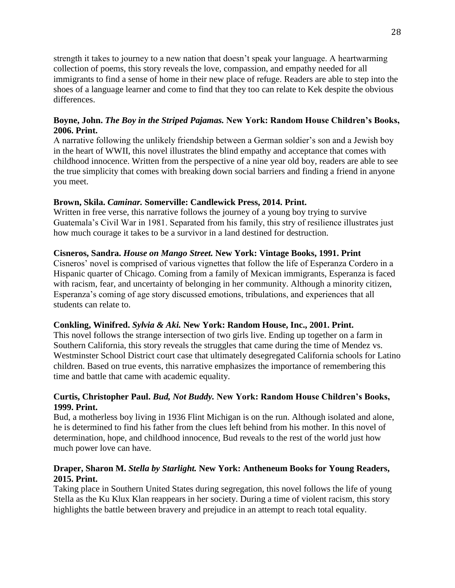strength it takes to journey to a new nation that doesn't speak your language. A heartwarming collection of poems, this story reveals the love, compassion, and empathy needed for all immigrants to find a sense of home in their new place of refuge. Readers are able to step into the shoes of a language learner and come to find that they too can relate to Kek despite the obvious differences.

## **Boyne, John.** *The Boy in the Striped Pajamas.* **New York: Random House Children's Books, 2006. Print.**

A narrative following the unlikely friendship between a German soldier's son and a Jewish boy in the heart of WWII, this novel illustrates the blind empathy and acceptance that comes with childhood innocence. Written from the perspective of a nine year old boy, readers are able to see the true simplicity that comes with breaking down social barriers and finding a friend in anyone you meet.

## **Brown, Skila.** *Caminar.* **Somerville: Candlewick Press, 2014. Print.**

Written in free verse, this narrative follows the journey of a young boy trying to survive Guatemala's Civil War in 1981. Separated from his family, this stry of resilience illustrates just how much courage it takes to be a survivor in a land destined for destruction.

## **Cisneros, Sandra.** *House on Mango Street.* **New York: Vintage Books, 1991. Print**

Cisneros' novel is comprised of various vignettes that follow the life of Esperanza Cordero in a Hispanic quarter of Chicago. Coming from a family of Mexican immigrants, Esperanza is faced with racism, fear, and uncertainty of belonging in her community. Although a minority citizen, Esperanza's coming of age story discussed emotions, tribulations, and experiences that all students can relate to.

#### **Conkling, Winifred.** *Sylvia & Aki.* **New York: Random House, Inc., 2001. Print.**

This novel follows the strange intersection of two girls live. Ending up together on a farm in Southern California, this story reveals the struggles that came during the time of Mendez vs. Westminster School District court case that ultimately desegregated California schools for Latino children. Based on true events, this narrative emphasizes the importance of remembering this time and battle that came with academic equality.

## **Curtis, Christopher Paul.** *Bud, Not Buddy.* **New York: Random House Children's Books, 1999. Print.**

Bud, a motherless boy living in 1936 Flint Michigan is on the run. Although isolated and alone, he is determined to find his father from the clues left behind from his mother. In this novel of determination, hope, and childhood innocence, Bud reveals to the rest of the world just how much power love can have.

## **Draper, Sharon M.** *Stella by Starlight.* **New York: Antheneum Books for Young Readers, 2015. Print.**

Taking place in Southern United States during segregation, this novel follows the life of young Stella as the Ku Klux Klan reappears in her society. During a time of violent racism, this story highlights the battle between bravery and prejudice in an attempt to reach total equality.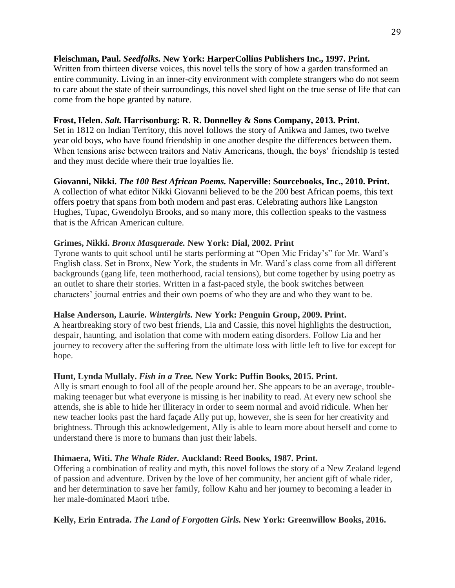#### **Fleischman, Paul.** *Seedfolks.* **New York: HarperCollins Publishers Inc., 1997. Print.**

Written from thirteen diverse voices, this novel tells the story of how a garden transformed an entire community. Living in an inner-city environment with complete strangers who do not seem to care about the state of their surroundings, this novel shed light on the true sense of life that can come from the hope granted by nature.

#### **Frost, Helen.** *Salt.* **Harrisonburg: R. R. Donnelley & Sons Company, 2013. Print.**

Set in 1812 on Indian Territory, this novel follows the story of Anikwa and James, two twelve year old boys, who have found friendship in one another despite the differences between them. When tensions arise between traitors and Nativ Americans, though, the boys' friendship is tested and they must decide where their true loyalties lie.

#### **Giovanni, Nikki.** *The 100 Best African Poems.* **Naperville: Sourcebooks, Inc., 2010. Print.**

A collection of what editor Nikki Giovanni believed to be the 200 best African poems, this text offers poetry that spans from both modern and past eras. Celebrating authors like Langston Hughes, Tupac, Gwendolyn Brooks, and so many more, this collection speaks to the vastness that is the African American culture.

#### **Grimes, Nikki.** *Bronx Masquerade.* **New York: Dial, 2002. Print**

Tyrone wants to quit school until he starts performing at "Open Mic Friday's" for Mr. Ward's English class. Set in Bronx, New York, the students in Mr. Ward's class come from all different backgrounds (gang life, teen motherhood, racial tensions), but come together by using poetry as an outlet to share their stories. Written in a fast-paced style, the book switches between characters' journal entries and their own poems of who they are and who they want to be.

#### **Halse Anderson, Laurie.** *Wintergirls.* **New York: Penguin Group, 2009. Print.**

A heartbreaking story of two best friends, Lia and Cassie, this novel highlights the destruction, despair, haunting, and isolation that come with modern eating disorders. Follow Lia and her journey to recovery after the suffering from the ultimate loss with little left to live for except for hope.

#### **Hunt, Lynda Mullaly.** *Fish in a Tree.* **New York: Puffin Books, 2015. Print.**

Ally is smart enough to fool all of the people around her. She appears to be an average, troublemaking teenager but what everyone is missing is her inability to read. At every new school she attends, she is able to hide her illiteracy in order to seem normal and avoid ridicule. When her new teacher looks past the hard façade Ally put up, however, she is seen for her creativity and brightness. Through this acknowledgement, Ally is able to learn more about herself and come to understand there is more to humans than just their labels.

#### **Ihimaera, Witi.** *The Whale Rider.* **Auckland: Reed Books, 1987. Print.**

Offering a combination of reality and myth, this novel follows the story of a New Zealand legend of passion and adventure. Driven by the love of her community, her ancient gift of whale rider, and her determination to save her family, follow Kahu and her journey to becoming a leader in her male-dominated Maori tribe.

#### **Kelly, Erin Entrada.** *The Land of Forgotten Girls.* **New York: Greenwillow Books, 2016.**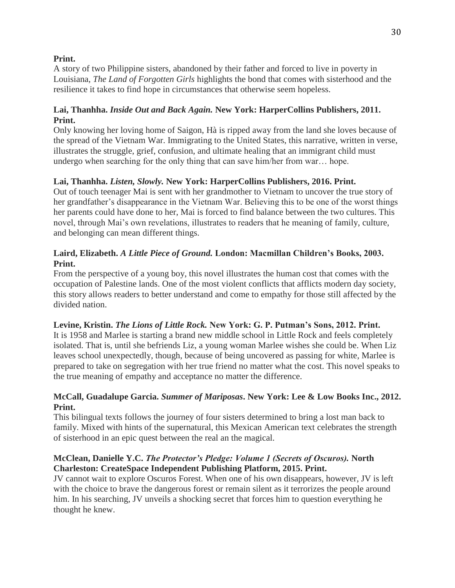#### **Print.**

A story of two Philippine sisters, abandoned by their father and forced to live in poverty in Louisiana, *The Land of Forgotten Girls* highlights the bond that comes with sisterhood and the resilience it takes to find hope in circumstances that otherwise seem hopeless.

## **Lai, Thanhha.** *Inside Out and Back Again.* **New York: HarperCollins Publishers, 2011. Print.**

Only knowing her loving home of Saigon, Hà is ripped away from the land she loves because of the spread of the Vietnam War. Immigrating to the United States, this narrative, written in verse, illustrates the struggle, grief, confusion, and ultimate healing that an immigrant child must undergo when searching for the only thing that can save him/her from war… hope.

## **Lai, Thanhha.** *Listen, Slowly.* **New York: HarperCollins Publishers, 2016. Print.**

Out of touch teenager Mai is sent with her grandmother to Vietnam to uncover the true story of her grandfather's disappearance in the Vietnam War. Believing this to be one of the worst things her parents could have done to her, Mai is forced to find balance between the two cultures. This novel, through Mai's own revelations, illustrates to readers that he meaning of family, culture, and belonging can mean different things.

## **Laird, Elizabeth.** *A Little Piece of Ground.* **London: Macmillan Children's Books, 2003. Print.**

From the perspective of a young boy, this novel illustrates the human cost that comes with the occupation of Palestine lands. One of the most violent conflicts that afflicts modern day society, this story allows readers to better understand and come to empathy for those still affected by the divided nation.

## **Levine, Kristin.** *The Lions of Little Rock.* **New York: G. P. Putman's Sons, 2012. Print.**

It is 1958 and Marlee is starting a brand new middle school in Little Rock and feels completely isolated. That is, until she befriends Liz, a young woman Marlee wishes she could be. When Liz leaves school unexpectedly, though, because of being uncovered as passing for white, Marlee is prepared to take on segregation with her true friend no matter what the cost. This novel speaks to the true meaning of empathy and acceptance no matter the difference.

## **McCall, Guadalupe Garcia.** *Summer of Mariposas***. New York: Lee & Low Books Inc., 2012. Print.**

This bilingual texts follows the journey of four sisters determined to bring a lost man back to family. Mixed with hints of the supernatural, this Mexican American text celebrates the strength of sisterhood in an epic quest between the real an the magical.

## **McClean, Danielle Y.C.** *The Protector's Pledge: Volume 1 (Secrets of Oscuros).* **North Charleston: CreateSpace Independent Publishing Platform, 2015. Print.**

JV cannot wait to explore Oscuros Forest. When one of his own disappears, however, JV is left with the choice to brave the dangerous forest or remain silent as it terrorizes the people around him. In his searching, JV unveils a shocking secret that forces him to question everything he thought he knew.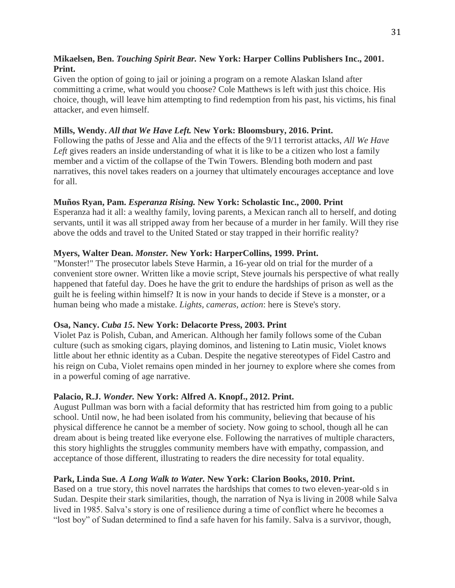## **Mikaelsen, Ben.** *Touching Spirit Bear.* **New York: Harper Collins Publishers Inc., 2001. Print.**

Given the option of going to jail or joining a program on a remote Alaskan Island after committing a crime, what would you choose? Cole Matthews is left with just this choice. His choice, though, will leave him attempting to find redemption from his past, his victims, his final attacker, and even himself.

## **Mills, Wendy.** *All that We Have Left.* **New York: Bloomsbury, 2016. Print.**

Following the paths of Jesse and Alia and the effects of the 9/11 terrorist attacks, *All We Have*  Left gives readers an inside understanding of what it is like to be a citizen who lost a family member and a victim of the collapse of the Twin Towers. Blending both modern and past narratives, this novel takes readers on a journey that ultimately encourages acceptance and love for all.

#### **Muños Ryan, Pam.** *Esperanza Rising.* **New York: Scholastic Inc., 2000. Print**

Esperanza had it all: a wealthy family, loving parents, a Mexican ranch all to herself, and doting servants, until it was all stripped away from her because of a murder in her family. Will they rise above the odds and travel to the United Stated or stay trapped in their horrific reality?

## **Myers, Walter Dean.** *Monster.* **New York: HarperCollins, 1999. Print.**

"Monster!" The prosecutor labels Steve Harmin, a 16-year old on trial for the murder of a convenient store owner. Written like a movie script, Steve journals his perspective of what really happened that fateful day. Does he have the grit to endure the hardships of prison as well as the guilt he is feeling within himself? It is now in your hands to decide if Steve is a monster, or a human being who made a mistake. *Lights, cameras, action*: here is Steve's story.

#### **Osa, Nancy.** *Cuba 15***. New York: Delacorte Press, 2003. Print**

Violet Paz is Polish, Cuban, and American. Although her family follows some of the Cuban culture (such as smoking cigars, playing dominos, and listening to Latin music, Violet knows little about her ethnic identity as a Cuban. Despite the negative stereotypes of Fidel Castro and his reign on Cuba, Violet remains open minded in her journey to explore where she comes from in a powerful coming of age narrative.

#### **Palacio, R.J.** *Wonder.* **New York: Alfred A. Knopf., 2012. Print.**

August Pullman was born with a facial deformity that has restricted him from going to a public school. Until now, he had been isolated from his community, believing that because of his physical difference he cannot be a member of society. Now going to school, though all he can dream about is being treated like everyone else. Following the narratives of multiple characters, this story highlights the struggles community members have with empathy, compassion, and acceptance of those different, illustrating to readers the dire necessity for total equality.

## **Park, Linda Sue.** *A Long Walk to Water.* **New York: Clarion Books, 2010. Print.**

Based on a true story, this novel narrates the hardships that comes to two eleven-year-old s in Sudan. Despite their stark similarities, though, the narration of Nya is living in 2008 while Salva lived in 1985. Salva's story is one of resilience during a time of conflict where he becomes a "lost boy" of Sudan determined to find a safe haven for his family. Salva is a survivor, though,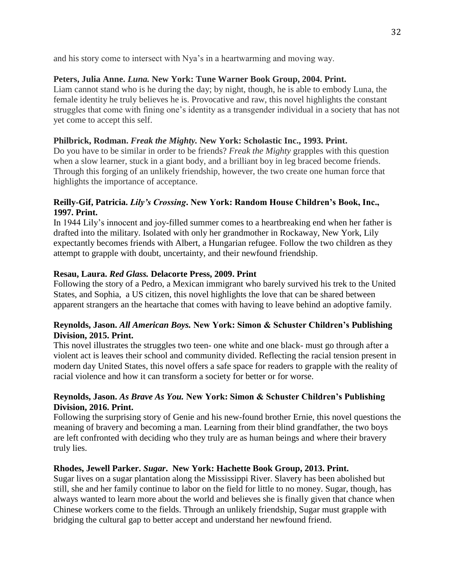and his story come to intersect with Nya's in a heartwarming and moving way.

## **Peters, Julia Anne.** *Luna.* **New York: Tune Warner Book Group, 2004. Print.**

Liam cannot stand who is he during the day; by night, though, he is able to embody Luna, the female identity he truly believes he is. Provocative and raw, this novel highlights the constant struggles that come with fining one's identity as a transgender individual in a society that has not yet come to accept this self.

## **Philbrick, Rodman.** *Freak the Mighty.* **New York: Scholastic Inc., 1993. Print.**

Do you have to be similar in order to be friends? *Freak the Mighty* grapples with this question when a slow learner, stuck in a giant body, and a brilliant boy in leg braced become friends. Through this forging of an unlikely friendship, however, the two create one human force that highlights the importance of acceptance.

## **Reilly-Gif, Patricia.** *Lily's Crossing***. New York: Random House Children's Book, Inc., 1997. Print.**

In 1944 Lily's innocent and joy-filled summer comes to a heartbreaking end when her father is drafted into the military. Isolated with only her grandmother in Rockaway, New York, Lily expectantly becomes friends with Albert, a Hungarian refugee. Follow the two children as they attempt to grapple with doubt, uncertainty, and their newfound friendship.

## **Resau, Laura.** *Red Glass.* **Delacorte Press, 2009. Print**

Following the story of a Pedro, a Mexican immigrant who barely survived his trek to the United States, and Sophia, a US citizen, this novel highlights the love that can be shared between apparent strangers an the heartache that comes with having to leave behind an adoptive family.

## **Reynolds, Jason.** *All American Boys.* **New York: Simon & Schuster Children's Publishing Division, 2015. Print.**

This novel illustrates the struggles two teen- one white and one black- must go through after a violent act is leaves their school and community divided. Reflecting the racial tension present in modern day United States, this novel offers a safe space for readers to grapple with the reality of racial violence and how it can transform a society for better or for worse.

## **Reynolds, Jason.** *As Brave As You.* **New York: Simon & Schuster Children's Publishing Division, 2016. Print.**

Following the surprising story of Genie and his new-found brother Ernie, this novel questions the meaning of bravery and becoming a man. Learning from their blind grandfather, the two boys are left confronted with deciding who they truly are as human beings and where their bravery truly lies.

#### **Rhodes, Jewell Parker.** *Sugar***. New York: Hachette Book Group, 2013. Print.**

Sugar lives on a sugar plantation along the Mississippi River. Slavery has been abolished but still, she and her family continue to labor on the field for little to no money. Sugar, though, has always wanted to learn more about the world and believes she is finally given that chance when Chinese workers come to the fields. Through an unlikely friendship, Sugar must grapple with bridging the cultural gap to better accept and understand her newfound friend.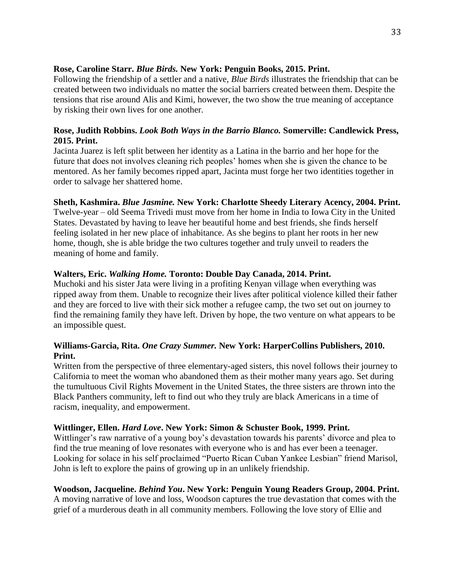## **Rose, Caroline Starr.** *Blue Birds.* **New York: Penguin Books, 2015. Print.**

Following the friendship of a settler and a native, *Blue Birds* illustrates the friendship that can be created between two individuals no matter the social barriers created between them. Despite the tensions that rise around Alis and Kimi, however, the two show the true meaning of acceptance by risking their own lives for one another.

## **Rose, Judith Robbins.** *Look Both Ways in the Barrio Blanco.* **Somerville: Candlewick Press, 2015. Print.**

Jacinta Juarez is left split between her identity as a Latina in the barrio and her hope for the future that does not involves cleaning rich peoples' homes when she is given the chance to be mentored. As her family becomes ripped apart, Jacinta must forge her two identities together in order to salvage her shattered home.

## **Sheth, Kashmira.** *Blue Jasmine.* **New York: Charlotte Sheedy Literary Acency, 2004. Print.**

Twelve-year – old Seema Trivedi must move from her home in India to Iowa City in the United States. Devastated by having to leave her beautiful home and best friends, she finds herself feeling isolated in her new place of inhabitance. As she begins to plant her roots in her new home, though, she is able bridge the two cultures together and truly unveil to readers the meaning of home and family.

## **Walters, Eric.** *Walking Home.* **Toronto: Double Day Canada, 2014. Print.**

Muchoki and his sister Jata were living in a profiting Kenyan village when everything was ripped away from them. Unable to recognize their lives after political violence killed their father and they are forced to live with their sick mother a refugee camp, the two set out on journey to find the remaining family they have left. Driven by hope, the two venture on what appears to be an impossible quest.

## **Williams-Garcia, Rita.** *One Crazy Summer.* **New York: HarperCollins Publishers, 2010. Print.**

Written from the perspective of three elementary-aged sisters, this novel follows their journey to California to meet the woman who abandoned them as their mother many years ago. Set during the tumultuous Civil Rights Movement in the United States, the three sisters are thrown into the Black Panthers community, left to find out who they truly are black Americans in a time of racism, inequality, and empowerment.

#### **Wittlinger, Ellen.** *Hard Love***. New York: Simon & Schuster Book, 1999. Print.**

Wittlinger's raw narrative of a young boy's devastation towards his parents' divorce and plea to find the true meaning of love resonates with everyone who is and has ever been a teenager. Looking for solace in his self proclaimed "Puerto Rican Cuban Yankee Lesbian" friend Marisol, John is left to explore the pains of growing up in an unlikely friendship.

#### **Woodson, Jacqueline.** *Behind You***. New York: Penguin Young Readers Group, 2004. Print.**  A moving narrative of love and loss, Woodson captures the true devastation that comes with the grief of a murderous death in all community members. Following the love story of Ellie and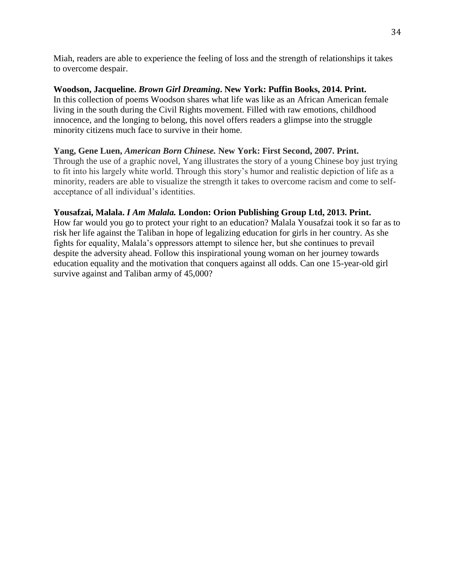Miah, readers are able to experience the feeling of loss and the strength of relationships it takes to overcome despair.

# **Woodson, Jacqueline.** *Brown Girl Dreaming***. New York: Puffin Books, 2014. Print.**  In this collection of poems Woodson shares what life was like as an African American female

living in the south during the Civil Rights movement. Filled with raw emotions, childhood innocence, and the longing to belong, this novel offers readers a glimpse into the struggle minority citizens much face to survive in their home.

# **Yang, Gene Luen,** *American Born Chinese.* **New York: First Second, 2007. Print.**

Through the use of a graphic novel, Yang illustrates the story of a young Chinese boy just trying to fit into his largely white world. Through this story's humor and realistic depiction of life as a minority, readers are able to visualize the strength it takes to overcome racism and come to selfacceptance of all individual's identities.

# **Yousafzai, Malala.** *I Am Malala.* **London: Orion Publishing Group Ltd, 2013. Print.**

How far would you go to protect your right to an education? Malala Yousafzai took it so far as to risk her life against the Taliban in hope of legalizing education for girls in her country. As she fights for equality, Malala's oppressors attempt to silence her, but she continues to prevail despite the adversity ahead. Follow this inspirational young woman on her journey towards education equality and the motivation that conquers against all odds. Can one 15-year-old girl survive against and Taliban army of 45,000?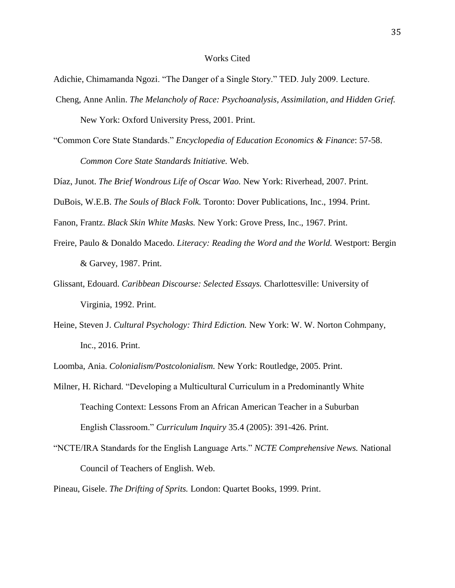#### Works Cited

Adichie, Chimamanda Ngozi. "The Danger of a Single Story." TED. July 2009. Lecture.

- Cheng, Anne Anlin. *The Melancholy of Race: Psychoanalysis, Assimilation, and Hidden Grief.*  New York: Oxford University Press, 2001. Print.
- "Common Core State Standards." *Encyclopedia of Education Economics & Finance*: 57-58. *Common Core State Standards Initiative.* Web.
- Díaz, Junot. *The Brief Wondrous Life of Oscar Wao.* New York: Riverhead, 2007. Print.

DuBois, W.E.B. *The Souls of Black Folk.* Toronto: Dover Publications, Inc., 1994. Print.

Fanon, Frantz. *Black Skin White Masks.* New York: Grove Press, Inc., 1967. Print.

- Freire, Paulo & Donaldo Macedo. *Literacy: Reading the Word and the World.* Westport: Bergin & Garvey, 1987. Print.
- Glissant, Edouard. *Caribbean Discourse: Selected Essays.* Charlottesville: University of Virginia, 1992. Print.
- Heine, Steven J. *Cultural Psychology: Third Ediction.* New York: W. W. Norton Cohmpany, Inc., 2016. Print.

Loomba, Ania. *Colonialism/Postcolonialism.* New York: Routledge, 2005. Print.

- Milner, H. Richard. "Developing a Multicultural Curriculum in a Predominantly White Teaching Context: Lessons From an African American Teacher in a Suburban English Classroom." *Curriculum Inquiry* 35.4 (2005): 391-426. Print.
- "NCTE/IRA Standards for the English Language Arts." *NCTE Comprehensive News.* National Council of Teachers of English. Web.

Pineau, Gisele. *The Drifting of Sprits.* London: Quartet Books, 1999. Print.